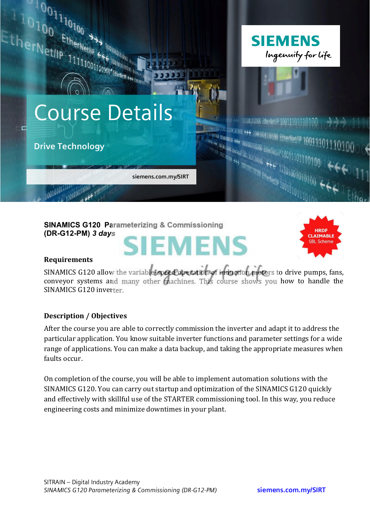

**SINAMICS G120 Parameterizing & Commissioning (DR-G12-PM)** *3 days*

# **SIEMENS**



#### **Requirements**

SINAMICS G120 allow the variable speed apertation of induction motors to drive pumps, fans, conveyor systems and many other machines. This course shows you how to handle the SINAMICS G120 inverter.

#### **Description / Objectives**

After the course you are able to correctly commission the inverter and adapt it to address the particular application. You know suitable inverter functions and parameter settings for a wide range of applications. You can make a data backup, and taking the appropriate measures when faults occur

On completion of the course, you will be able to implement automation solutions with the SINAMICS G120. You can carry out startup and optimization of the SINAMICS G120 quickly and effectively with skillful use of the STARTER commissioning tool. In this way, you reduce engineering costs and minimize downtimes in your plant.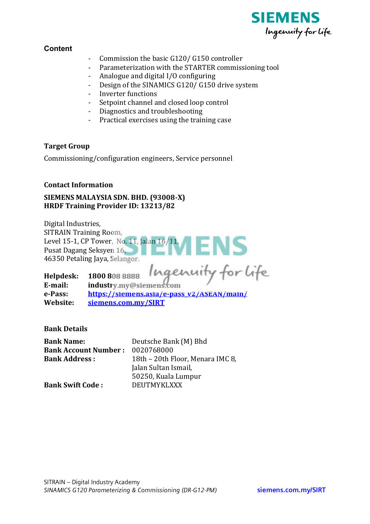

## **Content**

- Commission the basic G120/ G150 controller
- Parameterization with the STARTER commissioning tool

ENS

- Analogue and digital I/O configuring
- Design of the SINAMICS G120/ G150 drive system
- Inverter functions
- Setpoint channel and closed loop control
- Diagnostics and troubleshooting
- Practical exercises using the training case

#### **Target Group**

Commissioning/configuration engineers, Service personnel

#### **Contact Information**

## SIEMENS MALAYSIA SDN. BHD. (93008-X) HRDF Training Provider ID: 13213/82

Digital Industries, **SITRAIN Training Room,** Level 15-1, CP Tower, No. 11, Jalan 16/11, Pusat Dagang Seksyen 16, 46350 Petaling Java, Selangor.

Ingenuity for life Helpdesk: 1800 808 8888 E-mail: industry.my@siemens.com e-Pass: https://siemens.asia/e-pass\_v2/ASEAN/main/ Website: siemens.com.my/SIRT

**Bank Details** 

| <b>Bank Name:</b>                      | Deutsche Bank (M) Bhd            |
|----------------------------------------|----------------------------------|
| <b>Bank Account Number: 0020768000</b> |                                  |
| <b>Bank Address:</b>                   | 18th – 20th Floor, Menara IMC 8, |
|                                        | Jalan Sultan Ismail,             |
|                                        | 50250, Kuala Lumpur              |
| <b>Bank Swift Code:</b>                | <b>DEUTMYKLXXX</b>               |